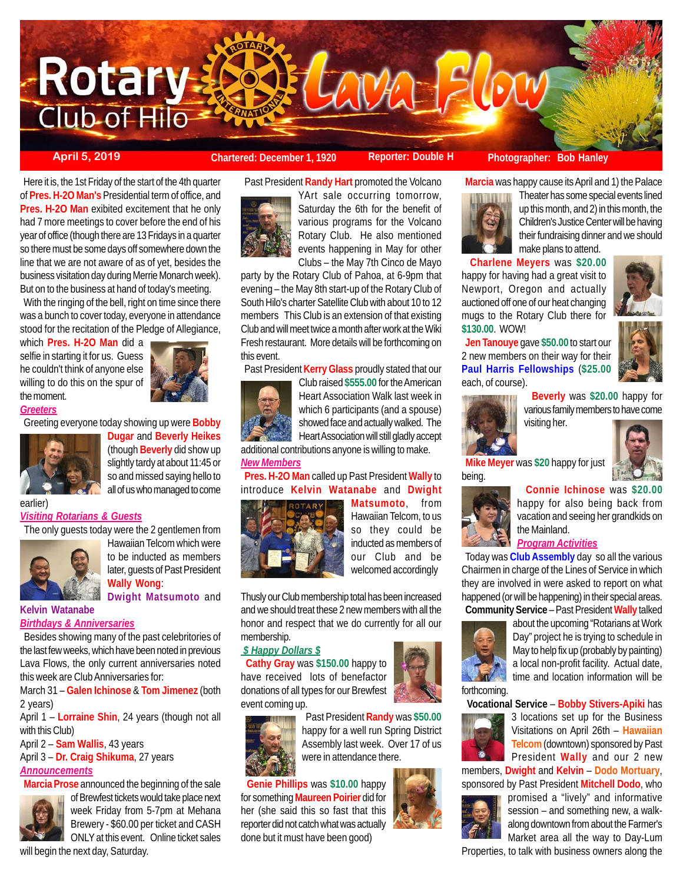

 Here it is, the 1st Friday of the start of the 4th quarter of **Pres. H-2O Man's** Presidential term of office, and **Pres. H-2O Man** exibited excitement that he only had 7 more meetings to cover before the end of his year of office (though there are 13 Fridays in a quarter so there must be some days off somewhere down the line that we are not aware of as of yet, besides the business visitation day during Merrie Monarch week). But on to the business at hand of today's meeting.

With the ringing of the bell, right on time since there was a bunch to cover today, everyone in attendance stood for the recitation of the Pledge of Allegiance,

which **Pres. H-2O Man** did a selfie in starting it for us. Guess he couldn't think of anyone else willing to do this on the spur of the moment.



*Greeters*

earlier)

Greeting everyone today showing up were **Bobby**



**Dugar** and **Beverly Heikes** (though **Beverly** did show up slightly tardy at about 11:45 or so and missed saying hello to all of us who managed to come

#### *Visiting Rotarians & Guests*

The only guests today were the 2 gentlemen from



Hawaiian Telcom which were to be inducted as members later, guests of Past President **Wally Wong**: **Dwight Matsumoto** and

**Kelvin Watanabe** *Birthdays & Anniversaries*

 Besides showing many of the past celebritories of the last few weeks, which have been noted in previous Lava Flows, the only current anniversaries noted this week are Club Anniversaries for:

March 31 – **Galen Ichinose** & **Tom Jimenez** (both 2 years)

April 1 – **Lorraine Shin**, 24 years (though not all with this Club)

April 2 – **Sam Wallis**, 43 years

April 3 – **Dr. Craig Shikuma**, 27 years *Announcements*

**Marcia Prose** announced the beginning of the sale



of Brewfest tickets would take place next week Friday from 5-7pm at Mehana Brewery - \$60.00 per ticket and CASH ONLY at this event. Online ticket sales

will begin the next day, Saturday.

Past President **Randy Hart** promoted the Volcano

# **April 5, 2019 Chartered: December 1, 1920** Reporter: Double H Photographer: Bob Hanley

make plans to attend.

 **Marcia** was happy cause its April and 1) the Palace Theater has some special events lined

 **Charlene Meyers** was **\$20.00** happy for having had a great visit to Newport, Oregon and actually auctioned off one of our heat changing mugs to the Rotary Club there for

 **Jen Tanouye** gave **\$50.00** to start our 2 new members on their way for their



YArt sale occurring tomorrow, Saturday the 6th for the benefit of various programs for the Volcano Rotary Club. He also mentioned events happening in May for other Clubs – the May 7th Cinco de Mayo

party by the Rotary Club of Pahoa, at 6-9pm that evening – the May 8th start-up of the Rotary Club of South Hilo's charter Satellite Club with about 10 to 12 members This Club is an extension of that existing Club and will meet twice a month after work at the Wiki Fresh restaurant. More details will be forthcoming on this event.

Past President **Kerry Glass** proudly stated that our



Club raised **\$555.00** for the American Heart Association Walk last week in which 6 participants (and a spouse) showed face and actually walked. The Heart Association will still gladly accept additional contributions anyone is willing to make.

#### *New Members*

 **Pres. H-2O Man** called up Past President **Wally** to introduce **Kelvin Watanabe** and **Dwight**



**Matsumoto**, from Hawaiian Telcom, to us so they could be inducted as members of our Club and be welcomed accordingly

Thusly our Club membership total has been increased and we should treat these 2 new members with all the honor and respect that we do currently for all our membership.

## *\$ Happy Dollars \$*

 **Cathy Gray** was **\$150.00** happy to have received lots of benefactor donations of all types for our Brewfest event coming up.



 **Genie Phillips** was **\$10.00** happy for something **Maureen Poirier** did for her (she said this so fast that this reporter did not catch what was actually done but it must have been good)





Day" project he is trying to schedule in May to help fix up (probably by painting) a local non-profit facility. Actual date, time and location information will be



3 locations set up for the Business Visitations on April 26th – **Hawaiian Telcom** (downtown) sponsored by Past President **Wally** and our 2 new

members, **Dwight** and **Kelvin** – **Dodo Mortuary**, sponsored by Past President **Mitchell Dodo**, who



promised a "lively" and informative session – and something new, a walkalong downtown from about the Farmer's Market area all the way to Day-Lum

Properties, to talk with business owners along the

**Paul Harris Fellowships** (**\$25.00** each, of course). **Beverly** was **\$20.00** happy for various family members to have come

up this month, and 2) in this month, the Children's Justice Center will be having their fundraising dinner and we should



**\$130.00**. WOW!

visiting her.



 **Mike Meyer** was **\$20** happy for just being.



# **Connie Ichinose** was **\$20.00** happy for also being back from vacation and seeing her grandkids on the Mainland.

*Program Activities*

 Today was **Club Assembly** day so all the various Chairmen in charge of the Lines of Service in which they are involved in were asked to report on what happened (or will be happening) in their special areas.  **Community Service** – Past President **Wally** talked

about the upcoming "Rotarians at Work

forthcoming.